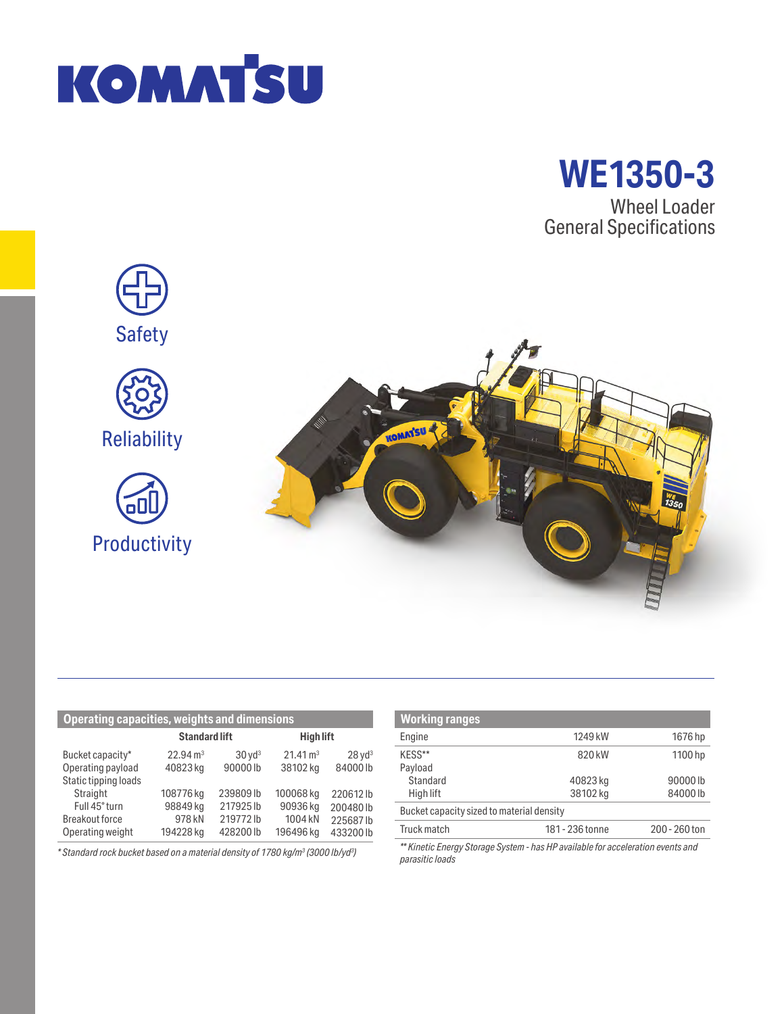



Wheel Loader General Specifications



| <b>Operating capacities, weights and dimensions</b> |                      |                      |                     |                      |  |
|-----------------------------------------------------|----------------------|----------------------|---------------------|----------------------|--|
|                                                     | <b>Standard lift</b> |                      | <b>High lift</b>    |                      |  |
| Bucket capacity*                                    | $22.94 \text{ m}^3$  | $30$ yd <sup>3</sup> | $21.41 \text{ m}^3$ | $28$ yd <sup>3</sup> |  |
| Operating payload                                   | 40823 kg             | 90000lb              | 38102 kg            | 84000lb              |  |
| Static tipping loads                                |                      |                      |                     |                      |  |
| Straight                                            | 108776 kg            | 239809lb             | 100068 kg           | 220612lb             |  |
| Full 45° turn                                       | 98849 kg             | 217925lb             | 90936 kg            | 200480lb             |  |
| <b>Breakout force</b>                               | 978 kN               | 219772lb             | 1004 kN             | 225687lb             |  |
| Operating weight                                    | 194228 kg            | 428200lb             | 196496 kg           | 433200 lb            |  |

*\* Standard rock bucket based on a material density of 1780 kg/m3 (3000 lb/yd3 )*

| <b>Working ranges</b>                                                           |                 |               |  |  |
|---------------------------------------------------------------------------------|-----------------|---------------|--|--|
| Engine                                                                          | 1249 kW         | 1676 hp       |  |  |
| KESS**                                                                          | 820 kW          | 1100 hp       |  |  |
| Payload                                                                         |                 |               |  |  |
| Standard                                                                        | 40823 kg        | 90000lb       |  |  |
| High lift                                                                       | 38102 kg        | 84000lb       |  |  |
| Bucket capacity sized to material density                                       |                 |               |  |  |
| Truck match                                                                     | 181 - 236 tonne | 200 - 260 ton |  |  |
| ** Kinetic Energy Storage System - has HP available for acceleration events and |                 |               |  |  |

*parasitic loads*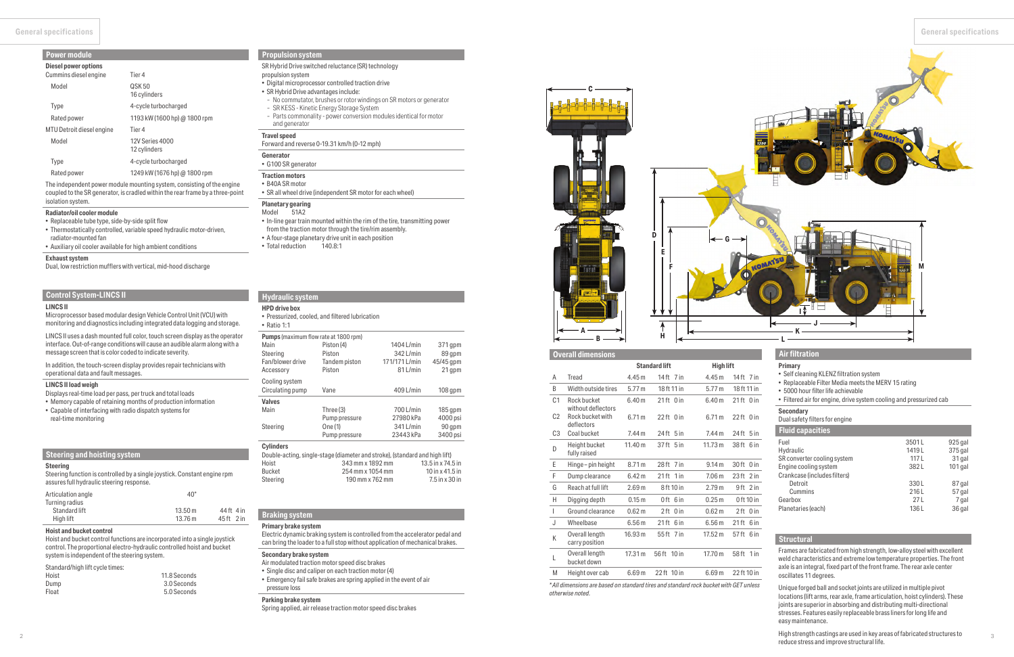**General specifications General specifications**

### **Braking system**

### **Primary brake system**

Electric dynamic braking system is controlled from the accelerator pedal and can bring the loader to a full stop without application of mechanical brakes.

### **Secondary brake system**

- Air modulated traction motor speed disc brakes
- Single disc and caliper on each traction motor (4)
- Emergency fail safe brakes are spring applied in the event of air pressure loss

### **Parking brake system**

Spring applied, air release traction motor speed disc brakes

### **Steering and hoisting system**

#### **Steering**

Steering function is controlled by a single joystick. Constant engine rpm assures full hydraulic steering response.

| Articulation angle | $40^{\circ}$ |                       |
|--------------------|--------------|-----------------------|
| Turning radius     |              |                       |
| Standard lift      | 13.50 m      | 44ft 4 in             |
| High lift          | 13.76 m      | 45 <sup>ft</sup> 2 in |

### **Hoist and bucket control**

Hoist and bucket control functions are incorporated into a single joystick control. The proportional electro-hydraulic controlled hoist and bucket system is independent of the steering system.

### Standard/high lift cycle times:

| Hoist | 11.8 Seconds |
|-------|--------------|
| Dump  | 3.0 Seconds  |
| Float | 5.0 Seconds  |

# **Hydraulic system**

### **HPD drive box**

• Pressurized, cooled, and filtered lubrication

| $\bullet$ Ratio 1:1 |  |
|---------------------|--|

| <b>Pumps</b> (maximum flow rate at 1800 rpm) |               |               |           |  |  |
|----------------------------------------------|---------------|---------------|-----------|--|--|
| Main                                         | Piston (4)    | 1404 L/min    | 371 gpm   |  |  |
| Steering                                     | Piston        | 342 L/min     | 89 qpm    |  |  |
| Fan/blower drive                             | Tandem piston | 171/171 L/min | 45/45 gpm |  |  |
| Accessory                                    | Piston        | 81 L/min      | 21 qpm    |  |  |
| Cooling system                               |               |               |           |  |  |
| Circulating pump                             | Vane          | 409 L/min     | $108$ qpm |  |  |
| <b>Valves</b>                                |               |               |           |  |  |
| Main                                         | Three (3)     | 700 L/min     | $185$ qpm |  |  |
|                                              | Pump pressure | 27980 kPa     | 4000 psi  |  |  |
| Steering                                     | One (1)       | 341 L/min     | 90 qpm    |  |  |
|                                              | Pump pressure | 23443 kPa     | 3400 psi  |  |  |
| <b>Cylinders</b>                             |               |               |           |  |  |

| Double-acting, single-stage (diameter and stroke), (standard and high lift) |                     |  |  |  |  |
|-----------------------------------------------------------------------------|---------------------|--|--|--|--|
| 343 mm x 1892 mm                                                            | $13.5$ in x 74.5 in |  |  |  |  |
| 254 mm x 1054 mm                                                            | $10$ in x 41.5 in   |  |  |  |  |
| 190 mm x 762 mm                                                             | 7.5 in x 30 in      |  |  |  |  |
|                                                                             |                     |  |  |  |  |

# **Control System-LINCS II**

## **LINCS II**

Microprocessor based modular design Vehicle Control Unit (VCU) with monitoring and diagnostics including integrated data logging and storage.

LINCS II uses a dash mounted full color, touch screen display as the operator interface. Out-of-range conditions will cause an audible alarm along with a message screen that is color coded to indicate severity.

In addition, the touch-screen display provides repair technicians with operational data and fault messages.

#### **LINCS II load weigh**

- Displays real-time load per pass, per truck and total loads
- Memory capable of retaining months of production information
- Capable of interfacing with radio dispatch systems for real-time monitoring

### **Propulsion system**

#### SR Hybrid Drive switched reluctance (SR) technology propulsion system

- Digital microprocessor controlled traction drive
- SR Hybrid Drive advantages include:
- No commutator, brushes or rotor windings on SR motors or generator
- SR KESS Kinetic Energy Storage System
- Parts commonality power conversion modules identical for motor and generator

#### **Travel speed**

### Forward and reverse 0-19.31 km/h (0-12 mph)

# **Generator**

• G100 SR generator

#### **Traction motors** • B40A SR motor

#### $0$  in  $0$  in  $5 in$ **Air filtration Primary** • Self cleaning KLENZ filtration system • Replaceable Filter Media meets the MERV 15 rating • 5000 hour filter life achievable • Filtered air for engine, drive system cooling and pressurized cab **Secondary** Dual safety filters for engine **Fluid capacities** Fuel Hydraulic SR converter cooling system Engine cooling system Crankcase (includes filters) Detroit Cummins Gearbox Planetaries (each) 3501 L 1419 L 117 L 382 L 330 L 216 L 27 L 136 L 925 gal 375 gal 31 gal 101 gal 87 gal 57 gal 7 gal 36 gal **Structural** Frames are fabricated from high strength, low-alloy steel with excellent weld characteristics and extreme low temperature properties. The front axle is an integral, fixed part of the front frame. The rear axle center oscillates 11 degrees. Unique forged ball and socket joints are utilized in multiple pivot locations (lift arms, rear axle, frame articulation, hoist cylinders). These

• SR all wheel drive (independent SR motor for each wheel)

# **Planetary gearing**

 $\frac{2}{2}$ High strength castings are used in key areas of fabricated structures to reduce stress and improve structural life.

- Model 51A2
- In-line gear train mounted within the rim of the tire, transmitting power from the traction motor through the tire/rim assembly.
- A four-stage planetary drive unit in each position
- Total reduction 140.8:1

# **Power module**

| Diesel power options<br>Cummins diesel engine | Tier 4                                 |
|-----------------------------------------------|----------------------------------------|
| Model                                         | QSK 50<br>16 cylinders                 |
| Type                                          | 4-cycle turbocharged                   |
| Rated power                                   | 1193 kW (1600 hp) @ 1800 rpm           |
| MTU Detroit diesel engine                     | Tier 4                                 |
| Model                                         | <b>12V Series 4000</b><br>12 cylinders |
| Type                                          | 4-cycle turbocharged                   |
| Rated power                                   | 1249 kW (1676 hp) @ 1800 rpm           |

The independent power module mounting system, consisting of the engine coupled to the SR generator, is cradled within the rear frame by a three-point isolation system.

#### **Radiator/oil cooler module**

• Replaceable tube type, side-by-side split flow

• Thermostatically controlled, variable speed hydraulic motor-driven, radiator-mounted fan

• Auxiliary oil cooler available for high ambient conditions

### **Exhaust system**

Dual, low restriction mufflers with vertical, mid-hood discharge

|                |                                   |                   | <b>Standard lift</b>    | <b>High lift</b>  |                   |
|----------------|-----------------------------------|-------------------|-------------------------|-------------------|-------------------|
| A              | Tread                             | 4.45 m            | 14 ft 7 in              | 4.45m             | 14 ft 7 in        |
| B              | Width outside tires               | 5.77 m            | 18 ft 11 in             | 5.77 m            | 18 ft 11 in       |
| C <sub>1</sub> | Rock bucket<br>without deflectors | 6.40 <sub>m</sub> | $21$ ft 0 in            | 6.40 <sub>m</sub> | 21ft 0in          |
| C <sub>2</sub> | Rock bucket with<br>deflectors    | 6.71 m            | $22$ ft 0 in            | 6.71 m            | $22$ ft 0 in      |
| C <sub>3</sub> | Coal bucket                       | 7.44 m            | $24$ ft $5$ in          | 7.44 m            | $24$ ft $5$ in    |
| D              | Height bucket<br>fully raised     | 11.40 m           | 37 ft 5 in              | 11.73 m           | 38ft 6in          |
| E              | Hinge-pin height                  | 8.71 m            | 28ft 7 in               | 9.14 m            | 30 ft 0 in        |
| F              | Dump clearance                    | 6.42 <sub>m</sub> | $21$ ft $1$ in          | 7.06 <sub>m</sub> | $23$ ft<br>$2$ in |
| G              | Reach at full lift                | 2.69 <sub>m</sub> | 8 ft 10 in              | 2.79 <sub>m</sub> | 9ft 2 in          |
| Н              | Digging depth                     | 0.15 <sub>m</sub> | 6 in<br>0 ft            | 0.25 <sub>m</sub> | 0 ft 10 in        |
| T              | Ground clearance                  | 0.62 <sub>m</sub> | 2 ft<br>0 <sub>in</sub> | 0.62 <sub>m</sub> | $2 ft$ 0 in       |
| J              | Wheelbase                         | 6.56m             | $21$ ft<br>6 in         | 6.56m             | $21$ ft<br>6 in   |
| K              | Overall length<br>carry position  | 16.93 m           | 55ft 7 in               | 17.52 m           | 57ft 6in          |
| L              | Overall length<br>bucket down     | 17.31 m           | 56 ft 10 in             | 17.70 m           | 58 ft<br>1 in     |
| M              | Height over cab                   | 6.69m             | 22 ft 10 in             | 6.69 <sub>m</sub> | 22 ft 10 in       |

*\* All dimensions are based on standard tires and standard rock bucket with GET unless otherwise noted.*

joints are superior in absorbing and distributing multi-directional stresses. Features easily replaceable brass liners for long life and easy maintenance.



### **Overall dimensions**